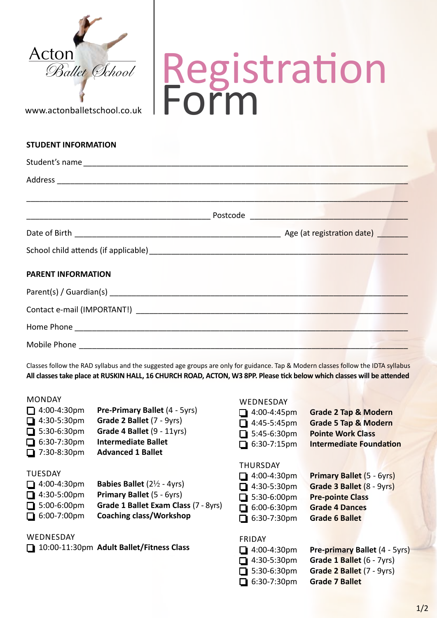

www.actonballetschool.co.uk

**STUDENT INFORMATION**

## Registration Form

| Student's name            |  |  |
|---------------------------|--|--|
|                           |  |  |
|                           |  |  |
|                           |  |  |
|                           |  |  |
|                           |  |  |
| <b>PARENT INFORMATION</b> |  |  |
|                           |  |  |
|                           |  |  |
|                           |  |  |
|                           |  |  |

Classes follow the RAD syllabus and the suggested age groups are only for guidance. Tap & Modern classes follow the IDTA syllabus **All classes take place at RUSKIN HALL, 16 CHURCH ROAD, ACTON, W3 8PP. Please tick below which classes will be attended**

#### **MONDAY**

| $\Box$ 4:00-4:30pm | <b>Pre-Primary Ballet (4 - 5yrs)</b> |
|--------------------|--------------------------------------|
| $\Box$ 4:30-5:30pm | Grade 2 Ballet (7 - 9yrs)            |
| $\Box$ 5:30-6:30pm | Grade 4 Ballet (9 - 11yrs)           |
| $\Box$ 6:30-7:30pm | <b>Intermediate Ballet</b>           |
| $\Box$ 7:30-8:30pm | <b>Advanced 1 Ballet</b>             |
|                    |                                      |

## **TUESDAY**

| $\Box$ 4:00-4:30pm | <b>Babies Ballet</b> $(2\frac{1}{2} - 4\gamma r s)$ |
|--------------------|-----------------------------------------------------|
| $\Box$ 4:30-5:00pm | <b>Primary Ballet (5 - 6yrs)</b>                    |
| $\Box$ 5:00-6:00pm | Grade 1 Ballet Exam Class (7 - 8yrs)                |
| $\Box$ 6:00-7:00pm | <b>Coaching class/Workshop</b>                      |

**WEDNESDAY** 

o 10:00-11:30pm **Adult Ballet/Fitness Class**

#### **WEDNESDAY**

| $\Box$ 4:00-4:45pm | <b>Grade 2 Tap &amp; Modern</b> |
|--------------------|---------------------------------|
| $\Box$ 4:45-5:45pm | <b>Grade 5 Tap &amp; Modern</b> |
| $\Box$ 5:45-6:30pm | <b>Pointe Work Class</b>        |
| $\Box$ 6:30-7:15pm | <b>Intermediate Foundation</b>  |
|                    |                                 |

#### **THURSDAY**

| $\Box$ 4:00-4:30pm | Primary Ballet (5 - 6yrs) |
|--------------------|---------------------------|
| $\Box$ 4:30-5:30pm | Grade 3 Ballet (8 - 9yrs) |
| $\Box$ 5:30-6:00pm | <b>Pre-pointe Class</b>   |
| $\Box$ 6:00-6:30pm | <b>Grade 4 Dances</b>     |
| $\Box$ 6:30-7:30pm | <b>Grade 6 Ballet</b>     |
|                    |                           |

### **FRIDAY**

| $\Box$ 4:00-4:30pm | Pre-primary Ballet (4 - 5yrs) |
|--------------------|-------------------------------|
| $\Box$ 4:30-5:30pm | Grade 1 Ballet (6 - 7yrs)     |
| $\Box$ 5:30-6:30pm | Grade 2 Ballet (7 - 9yrs)     |
| $\Box$ 6:30-7:30pm | <b>Grade 7 Ballet</b>         |